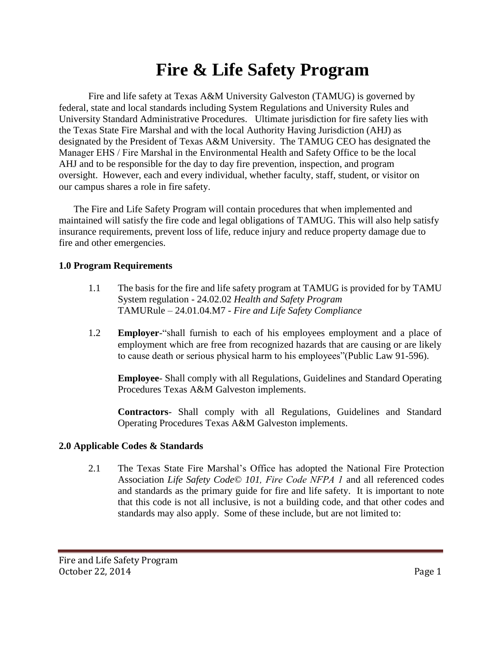# **Fire & Life Safety Program**

Fire and life safety at Texas A&M University Galveston (TAMUG) is governed by federal, state and local standards including System Regulations and University Rules and University Standard Administrative Procedures. Ultimate jurisdiction for fire safety lies with the Texas State Fire Marshal and with the local Authority Having Jurisdiction (AHJ) as designated by the President of Texas A&M University. The TAMUG CEO has designated the Manager EHS / Fire Marshal in the Environmental Health and Safety Office to be the local AHJ and to be responsible for the day to day fire prevention, inspection, and program oversight. However, each and every individual, whether faculty, staff, student, or visitor on our campus shares a role in fire safety.

The Fire and Life Safety Program will contain procedures that when implemented and maintained will satisfy the fire code and legal obligations of TAMUG. This will also help satisfy insurance requirements, prevent loss of life, reduce injury and reduce property damage due to fire and other emergencies.

#### **1.0 Program Requirements**

- 1.1 The basis for the fire and life safety program at TAMUG is provided for by TAMU System regulation - 24.02.02 *Health and Safety Program* TAMURule – 24.01.04.M7 - *Fire and Life Safety Compliance*
- 1.2 **Employer**-"shall furnish to each of his employees employment and a place of employment which are free from recognized hazards that are causing or are likely to cause death or serious physical harm to his employees"(Public Law 91-596).

**Employee**- Shall comply with all Regulations, Guidelines and Standard Operating Procedures Texas A&M Galveston implements.

**Contractors**- Shall comply with all Regulations, Guidelines and Standard Operating Procedures Texas A&M Galveston implements.

# **2.0 Applicable Codes & Standards**

2.1 The Texas State Fire Marshal's Office has adopted the National Fire Protection Association *Life Safety Code© 101, Fire Code NFPA 1* and all referenced codes and standards as the primary guide for fire and life safety. It is important to note that this code is not all inclusive, is not a building code, and that other codes and standards may also apply. Some of these include, but are not limited to: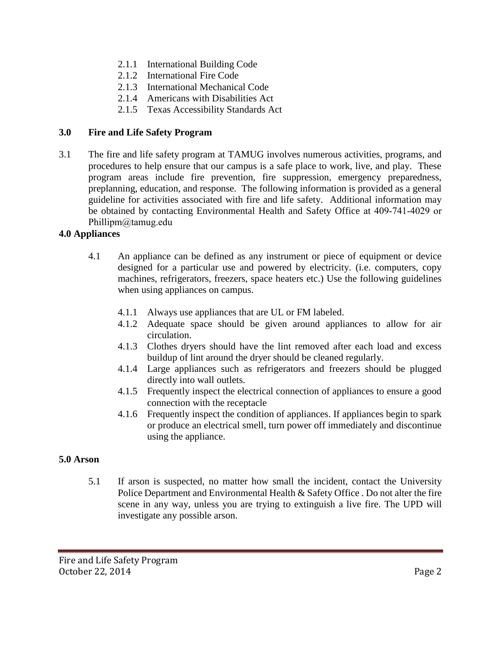- 2.1.1 International Building Code
- 2.1.2 International Fire Code
- 2.1.3 International Mechanical Code
- 2.1.4 Americans with Disabilities Act
- 2.1.5 Texas Accessibility Standards Act

#### **3.0 Fire and Life Safety Program**

3.1 The fire and life safety program at TAMUG involves numerous activities, programs, and procedures to help ensure that our campus is a safe place to work, live, and play. These program areas include fire prevention, fire suppression, emergency preparedness, preplanning, education, and response. The following information is provided as a general guideline for activities associated with fire and life safety. Additional information may be obtained by contacting Environmental Health and Safety Office at 409-741-4029 or Phillipm@tamug.edu

#### **4.0 Appliances**

- 4.1 An appliance can be defined as any instrument or piece of equipment or device designed for a particular use and powered by electricity. (i.e. computers, copy machines, refrigerators, freezers, space heaters etc.) Use the following guidelines when using appliances on campus.
	- 4.1.1 Always use appliances that are UL or FM labeled.
	- 4.1.2 Adequate space should be given around appliances to allow for air circulation.
	- 4.1.3 Clothes dryers should have the lint removed after each load and excess buildup of lint around the dryer should be cleaned regularly.
	- 4.1.4 Large appliances such as refrigerators and freezers should be plugged directly into wall outlets.
	- 4.1.5 Frequently inspect the electrical connection of appliances to ensure a good connection with the receptacle
	- 4.1.6 Frequently inspect the condition of appliances. If appliances begin to spark or produce an electrical smell, turn power off immediately and discontinue using the appliance.

#### **5.0 Arson**

5.1 If arson is suspected, no matter how small the incident, contact the University Police Department and Environmental Health & Safety Office . Do not alter the fire scene in any way, unless you are trying to extinguish a live fire. The UPD will investigate any possible arson.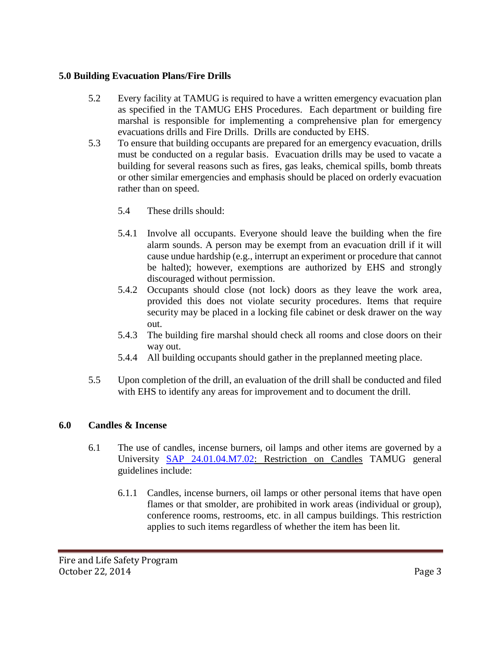# **5.0 Building Evacuation Plans/Fire Drills**

- 5.2 Every facility at TAMUG is required to have a written emergency evacuation plan as specified in the TAMUG EHS Procedures. Each department or building fire marshal is responsible for implementing a comprehensive plan for emergency evacuations drills and Fire Drills. Drills are conducted by EHS.
- 5.3 To ensure that building occupants are prepared for an emergency evacuation, drills must be conducted on a regular basis. Evacuation drills may be used to vacate a building for several reasons such as fires, gas leaks, chemical spills, bomb threats or other similar emergencies and emphasis should be placed on orderly evacuation rather than on speed.
	- 5.4 These drills should:
	- 5.4.1 Involve all occupants. Everyone should leave the building when the fire alarm sounds. A person may be exempt from an evacuation drill if it will cause undue hardship (e.g., interrupt an experiment or procedure that cannot be halted); however, exemptions are authorized by EHS and strongly discouraged without permission.
	- 5.4.2 Occupants should close (not lock) doors as they leave the work area, provided this does not violate security procedures. Items that require security may be placed in a locking file cabinet or desk drawer on the way out.
	- 5.4.3 The building fire marshal should check all rooms and close doors on their way out.
	- 5.4.4 All building occupants should gather in the preplanned meeting place.
- 5.5 Upon completion of the drill, an evaluation of the drill shall be conducted and filed with EHS to identify any areas for improvement and to document the drill.

# **6.0 Candles & Incense**

- 6.1 The use of candles, incense burners, oil lamps and other items are governed by a University SAP 24.01.04.M7.02: Restriction on Candles TAMUG general guidelines include:
	- 6.1.1 Candles, incense burners, oil lamps or other personal items that have open flames or that smolder, are prohibited in work areas (individual or group), conference rooms, restrooms, etc. in all campus buildings. This restriction applies to such items regardless of whether the item has been lit.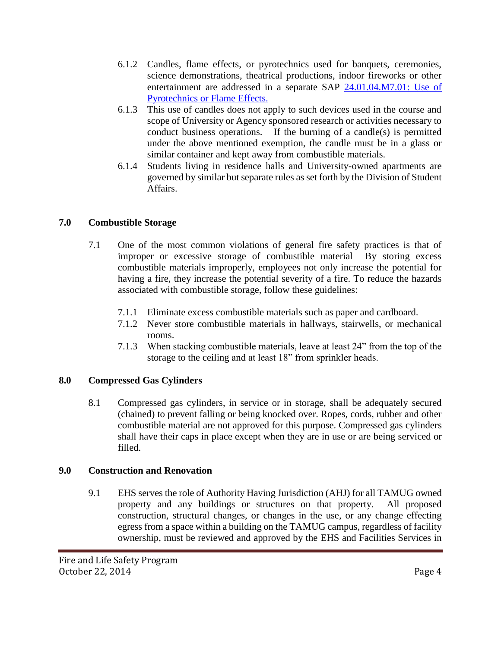- 6.1.2 Candles, flame effects, or pyrotechnics used for banquets, ceremonies, science demonstrations, theatrical productions, indoor fireworks or other entertainment are addressed in a separate SAP 24.01.04.M7.01: Use of Pyrotechnics or Flame Effects.
- 6.1.3 This use of candles does not apply to such devices used in the course and scope of University or Agency sponsored research or activities necessary to conduct business operations. If the burning of a candle(s) is permitted under the above mentioned exemption, the candle must be in a glass or similar container and kept away from combustible materials.
- 6.1.4 Students living in residence halls and University-owned apartments are governed by similar but separate rules as set forth by the Division of Student Affairs.

# **7.0 Combustible Storage**

- 7.1 One of the most common violations of general fire safety practices is that of improper or excessive storage of combustible material By storing excess combustible materials improperly, employees not only increase the potential for having a fire, they increase the potential severity of a fire. To reduce the hazards associated with combustible storage, follow these guidelines:
	- 7.1.1 Eliminate excess combustible materials such as paper and cardboard.
	- 7.1.2 Never store combustible materials in hallways, stairwells, or mechanical rooms.
	- 7.1.3 When stacking combustible materials, leave at least 24" from the top of the storage to the ceiling and at least 18" from sprinkler heads.

# **8.0 Compressed Gas Cylinders**

8.1 Compressed gas cylinders, in service or in storage, shall be adequately secured (chained) to prevent falling or being knocked over. Ropes, cords, rubber and other combustible material are not approved for this purpose. Compressed gas cylinders shall have their caps in place except when they are in use or are being serviced or filled.

# **9.0 Construction and Renovation**

9.1 EHS serves the role of Authority Having Jurisdiction (AHJ) for all TAMUG owned property and any buildings or structures on that property. All proposed construction, structural changes, or changes in the use, or any change effecting egress from a space within a building on the TAMUG campus, regardless of facility ownership, must be reviewed and approved by the EHS and Facilities Services in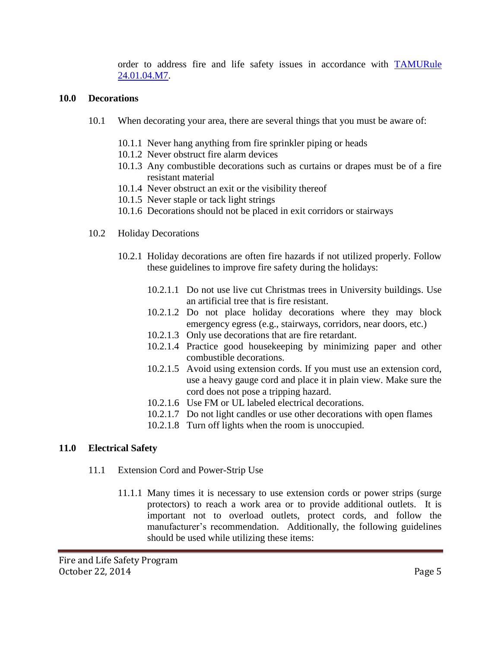order to address fire and life safety issues in accordance with TAMURule 24.01.04.M7.

#### **10.0 Decorations**

- 10.1 When decorating your area, there are several things that you must be aware of:
	- 10.1.1 Never hang anything from fire sprinkler piping or heads
	- 10.1.2 Never obstruct fire alarm devices
	- 10.1.3 Any combustible decorations such as curtains or drapes must be of a fire resistant material
	- 10.1.4 Never obstruct an exit or the visibility thereof
	- 10.1.5 Never staple or tack light strings
	- 10.1.6 Decorations should not be placed in exit corridors or stairways
- 10.2 Holiday Decorations
	- 10.2.1 Holiday decorations are often fire hazards if not utilized properly. Follow these guidelines to improve fire safety during the holidays:
		- 10.2.1.1 Do not use live cut Christmas trees in University buildings. Use an artificial tree that is fire resistant.
		- 10.2.1.2 Do not place holiday decorations where they may block emergency egress (e.g., stairways, corridors, near doors, etc.)
		- 10.2.1.3 Only use decorations that are fire retardant.
		- 10.2.1.4 Practice good housekeeping by minimizing paper and other combustible decorations.
		- 10.2.1.5 Avoid using extension cords. If you must use an extension cord, use a heavy gauge cord and place it in plain view. Make sure the cord does not pose a tripping hazard.
		- 10.2.1.6 Use FM or UL labeled electrical decorations.
		- 10.2.1.7 Do not light candles or use other decorations with open flames
		- 10.2.1.8 Turn off lights when the room is unoccupied.

# **11.0 Electrical Safety**

- 11.1 Extension Cord and Power-Strip Use
	- 11.1.1 Many times it is necessary to use extension cords or power strips (surge protectors) to reach a work area or to provide additional outlets. It is important not to overload outlets, protect cords, and follow the manufacturer's recommendation. Additionally, the following guidelines should be used while utilizing these items: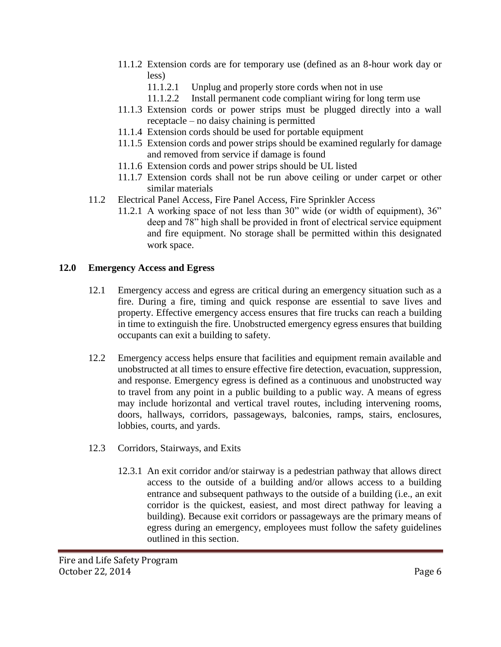- 11.1.2 Extension cords are for temporary use (defined as an 8-hour work day or less)
	- 11.1.2.1 Unplug and properly store cords when not in use
	- 11.1.2.2 Install permanent code compliant wiring for long term use
- 11.1.3 Extension cords or power strips must be plugged directly into a wall receptacle – no daisy chaining is permitted
- 11.1.4 Extension cords should be used for portable equipment
- 11.1.5 Extension cords and power strips should be examined regularly for damage and removed from service if damage is found
- 11.1.6 Extension cords and power strips should be UL listed
- 11.1.7 Extension cords shall not be run above ceiling or under carpet or other similar materials
- 11.2 Electrical Panel Access, Fire Panel Access, Fire Sprinkler Access
	- 11.2.1 A working space of not less than 30" wide (or width of equipment), 36" deep and 78" high shall be provided in front of electrical service equipment and fire equipment. No storage shall be permitted within this designated work space.

# **12.0 Emergency Access and Egress**

- 12.1 Emergency access and egress are critical during an emergency situation such as a fire. During a fire, timing and quick response are essential to save lives and property. Effective emergency access ensures that fire trucks can reach a building in time to extinguish the fire. Unobstructed emergency egress ensures that building occupants can exit a building to safety.
- 12.2 Emergency access helps ensure that facilities and equipment remain available and unobstructed at all times to ensure effective fire detection, evacuation, suppression, and response. Emergency egress is defined as a continuous and unobstructed way to travel from any point in a public building to a public way. A means of egress may include horizontal and vertical travel routes, including intervening rooms, doors, hallways, corridors, passageways, balconies, ramps, stairs, enclosures, lobbies, courts, and yards.
- 12.3 Corridors, Stairways, and Exits
	- 12.3.1 An exit corridor and/or stairway is a pedestrian pathway that allows direct access to the outside of a building and/or allows access to a building entrance and subsequent pathways to the outside of a building (i.e., an exit corridor is the quickest, easiest, and most direct pathway for leaving a building). Because exit corridors or passageways are the primary means of egress during an emergency, employees must follow the safety guidelines outlined in this section.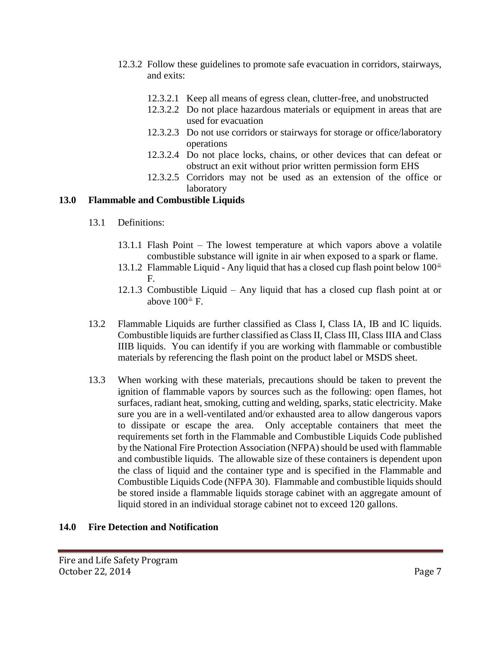- 12.3.2 Follow these guidelines to promote safe evacuation in corridors, stairways, and exits:
	- 12.3.2.1 Keep all means of egress clean, clutter-free, and unobstructed
	- 12.3.2.2 Do not place hazardous materials or equipment in areas that are used for evacuation
	- 12.3.2.3 Do not use corridors or stairways for storage or office/laboratory operations
	- 12.3.2.4 Do not place locks, chains, or other devices that can defeat or obstruct an exit without prior written permission form EHS
	- 12.3.2.5 Corridors may not be used as an extension of the office or laboratory

# **13.0 Flammable and Combustible Liquids**

- 13.1 Definitions:
	- 13.1.1 Flash Point The lowest temperature at which vapors above a volatile combustible substance will ignite in air when exposed to a spark or flame.
	- 13.1.2 Flammable Liquid Any liquid that has a closed cup flash point below  $100^{\text{th}}$ F.
	- 12.1.3 Combustible Liquid Any liquid that has a closed cup flash point at or above  $100^{\text{m}}$  F.
- 13.2 Flammable Liquids are further classified as Class I, Class IA, IB and IC liquids. Combustible liquids are further classified as Class II, Class III, Class IIIA and Class IIIB liquids. You can identify if you are working with flammable or combustible materials by referencing the flash point on the product label or MSDS sheet.
- 13.3 When working with these materials, precautions should be taken to prevent the ignition of flammable vapors by sources such as the following: open flames, hot surfaces, radiant heat, smoking, cutting and welding, sparks, static electricity. Make sure you are in a well-ventilated and/or exhausted area to allow dangerous vapors to dissipate or escape the area. Only acceptable containers that meet the requirements set forth in the Flammable and Combustible Liquids Code published by the National Fire Protection Association (NFPA) should be used with flammable and combustible liquids. The allowable size of these containers is dependent upon the class of liquid and the container type and is specified in the Flammable and Combustible Liquids Code (NFPA 30). Flammable and combustible liquids should be stored inside a flammable liquids storage cabinet with an aggregate amount of liquid stored in an individual storage cabinet not to exceed 120 gallons.

#### **14.0 Fire Detection and Notification**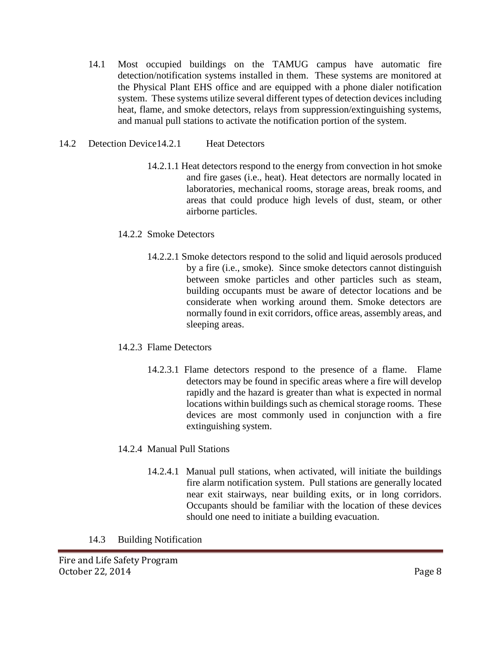- 14.1 Most occupied buildings on the TAMUG campus have automatic fire detection/notification systems installed in them. These systems are monitored at the Physical Plant EHS office and are equipped with a phone dialer notification system. These systems utilize several different types of detection devices including heat, flame, and smoke detectors, relays from suppression/extinguishing systems, and manual pull stations to activate the notification portion of the system.
- 14.2 Detection Device 14.2.1 Heat Detectors
	- 14.2.1.1 Heat detectors respond to the energy from convection in hot smoke and fire gases (i.e., heat). Heat detectors are normally located in laboratories, mechanical rooms, storage areas, break rooms, and areas that could produce high levels of dust, steam, or other airborne particles.
	- 14.2.2 Smoke Detectors
		- 14.2.2.1 Smoke detectors respond to the solid and liquid aerosols produced by a fire (i.e., smoke). Since smoke detectors cannot distinguish between smoke particles and other particles such as steam, building occupants must be aware of detector locations and be considerate when working around them. Smoke detectors are normally found in exit corridors, office areas, assembly areas, and sleeping areas.
	- 14.2.3 Flame Detectors
		- 14.2.3.1 Flame detectors respond to the presence of a flame. Flame detectors may be found in specific areas where a fire will develop rapidly and the hazard is greater than what is expected in normal locations within buildings such as chemical storage rooms. These devices are most commonly used in conjunction with a fire extinguishing system.
	- 14.2.4 Manual Pull Stations
		- 14.2.4.1 Manual pull stations, when activated, will initiate the buildings fire alarm notification system. Pull stations are generally located near exit stairways, near building exits, or in long corridors. Occupants should be familiar with the location of these devices should one need to initiate a building evacuation.
	- 14.3 Building Notification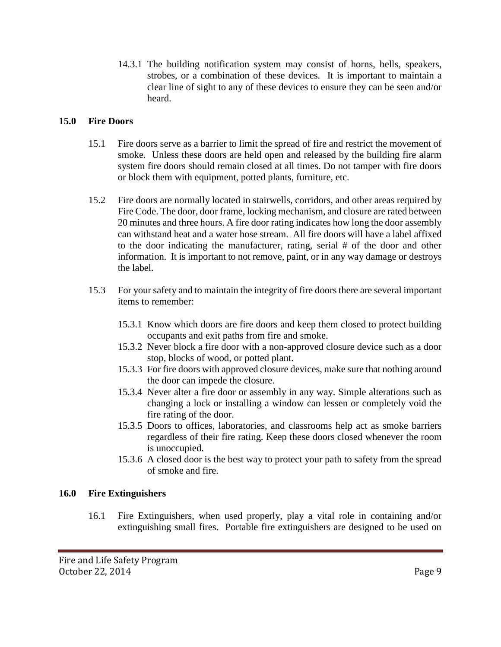14.3.1 The building notification system may consist of horns, bells, speakers, strobes, or a combination of these devices. It is important to maintain a clear line of sight to any of these devices to ensure they can be seen and/or heard.

### **15.0 Fire Doors**

- 15.1 Fire doors serve as a barrier to limit the spread of fire and restrict the movement of smoke. Unless these doors are held open and released by the building fire alarm system fire doors should remain closed at all times. Do not tamper with fire doors or block them with equipment, potted plants, furniture, etc.
- 15.2 Fire doors are normally located in stairwells, corridors, and other areas required by Fire Code. The door, door frame, locking mechanism, and closure are rated between 20 minutes and three hours. A fire door rating indicates how long the door assembly can withstand heat and a water hose stream. All fire doors will have a label affixed to the door indicating the manufacturer, rating, serial # of the door and other information. It is important to not remove, paint, or in any way damage or destroys the label.
- 15.3 For your safety and to maintain the integrity of fire doors there are several important items to remember:
	- 15.3.1 Know which doors are fire doors and keep them closed to protect building occupants and exit paths from fire and smoke.
	- 15.3.2 Never block a fire door with a non-approved closure device such as a door stop, blocks of wood, or potted plant.
	- 15.3.3 For fire doors with approved closure devices, make sure that nothing around the door can impede the closure.
	- 15.3.4 Never alter a fire door or assembly in any way. Simple alterations such as changing a lock or installing a window can lessen or completely void the fire rating of the door.
	- 15.3.5 Doors to offices, laboratories, and classrooms help act as smoke barriers regardless of their fire rating. Keep these doors closed whenever the room is unoccupied.
	- 15.3.6 A closed door is the best way to protect your path to safety from the spread of smoke and fire.

#### **16.0 Fire Extinguishers**

16.1 Fire Extinguishers, when used properly, play a vital role in containing and/or extinguishing small fires. Portable fire extinguishers are designed to be used on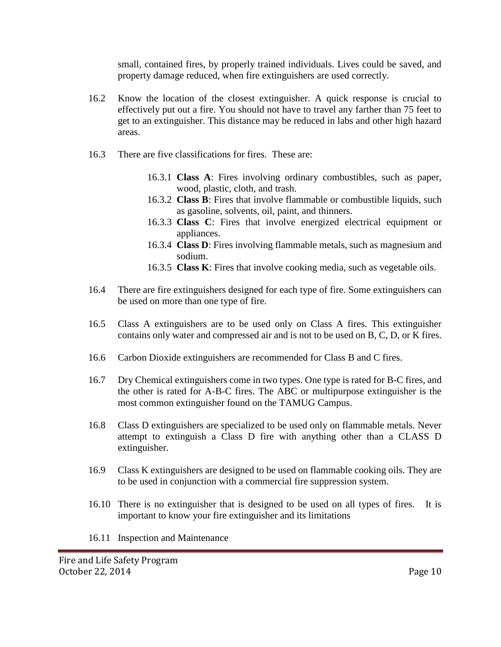small, contained fires, by properly trained individuals. Lives could be saved, and property damage reduced, when fire extinguishers are used correctly.

- 16.2 Know the location of the closest extinguisher. A quick response is crucial to effectively put out a fire. You should not have to travel any farther than 75 feet to get to an extinguisher. This distance may be reduced in labs and other high hazard areas.
- 16.3 There are five classifications for fires. These are:
	- 16.3.1 **Class A**: Fires involving ordinary combustibles, such as paper, wood, plastic, cloth, and trash.
	- 16.3.2 **Class B**: Fires that involve flammable or combustible liquids, such as gasoline, solvents, oil, paint, and thinners.
	- 16.3.3 **Class C**: Fires that involve energized electrical equipment or appliances.
	- 16.3.4 **Class D**: Fires involving flammable metals, such as magnesium and sodium.
	- 16.3.5 **Class K**: Fires that involve cooking media, such as vegetable oils.
- 16.4 There are fire extinguishers designed for each type of fire. Some extinguishers can be used on more than one type of fire.
- 16.5 Class A extinguishers are to be used only on Class A fires. This extinguisher contains only water and compressed air and is not to be used on B, C, D, or K fires.
- 16.6 Carbon Dioxide extinguishers are recommended for Class B and C fires.
- 16.7 Dry Chemical extinguishers come in two types. One type is rated for B-C fires, and the other is rated for A-B-C fires. The ABC or multipurpose extinguisher is the most common extinguisher found on the TAMUG Campus.
- 16.8 Class D extinguishers are specialized to be used only on flammable metals. Never attempt to extinguish a Class D fire with anything other than a CLASS D extinguisher.
- 16.9 Class K extinguishers are designed to be used on flammable cooking oils. They are to be used in conjunction with a commercial fire suppression system.
- 16.10 There is no extinguisher that is designed to be used on all types of fires. It is important to know your fire extinguisher and its limitations
- 16.11 Inspection and Maintenance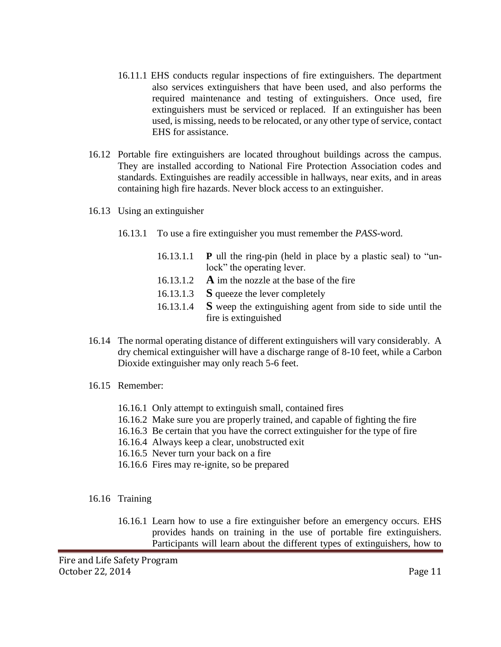- 16.11.1 EHS conducts regular inspections of fire extinguishers. The department also services extinguishers that have been used, and also performs the required maintenance and testing of extinguishers. Once used, fire extinguishers must be serviced or replaced. If an extinguisher has been used, is missing, needs to be relocated, or any other type of service, contact EHS for assistance.
- 16.12 Portable fire extinguishers are located throughout buildings across the campus. They are installed according to National Fire Protection Association codes and standards. Extinguishes are readily accessible in hallways, near exits, and in areas containing high fire hazards. Never block access to an extinguisher.
- 16.13 Using an extinguisher
	- 16.13.1 To use a fire extinguisher you must remember the *PASS*-word.
		- 16.13.1.1 **P** ull the ring-pin (held in place by a plastic seal) to "unlock" the operating lever. 16.13.1.2 **A** im the nozzle at the base of the fire
		- 16.13.1.3 **S** queeze the lever completely
		- 16.13.1.4 **S** weep the extinguishing agent from side to side until the fire is extinguished
- 16.14 The normal operating distance of different extinguishers will vary considerably. A dry chemical extinguisher will have a discharge range of 8-10 feet, while a Carbon Dioxide extinguisher may only reach 5-6 feet.
- 16.15 Remember:
	- 16.16.1 Only attempt to extinguish small, contained fires
	- 16.16.2 Make sure you are properly trained, and capable of fighting the fire
	- 16.16.3 Be certain that you have the correct extinguisher for the type of fire
	- 16.16.4 Always keep a clear, unobstructed exit
	- 16.16.5 Never turn your back on a fire
	- 16.16.6 Fires may re-ignite, so be prepared
- 16.16 Training
	- 16.16.1 Learn how to use a fire extinguisher before an emergency occurs. EHS provides hands on training in the use of portable fire extinguishers. Participants will learn about the different types of extinguishers, how to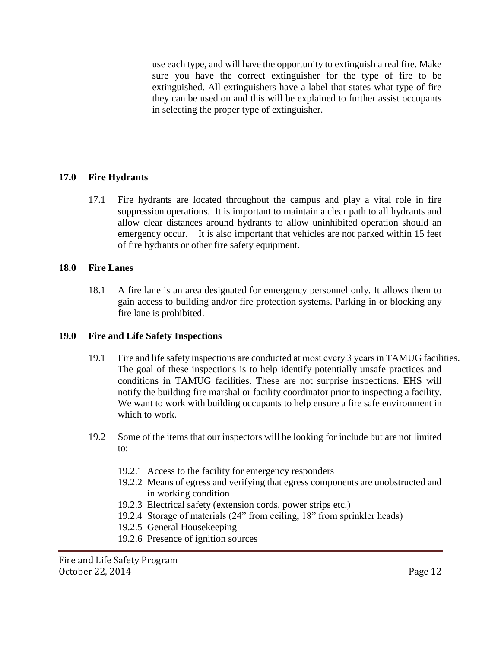use each type, and will have the opportunity to extinguish a real fire. Make sure you have the correct extinguisher for the type of fire to be extinguished. All extinguishers have a label that states what type of fire they can be used on and this will be explained to further assist occupants in selecting the proper type of extinguisher.

# **17.0 Fire Hydrants**

17.1 Fire hydrants are located throughout the campus and play a vital role in fire suppression operations. It is important to maintain a clear path to all hydrants and allow clear distances around hydrants to allow uninhibited operation should an emergency occur. It is also important that vehicles are not parked within 15 feet of fire hydrants or other fire safety equipment.

#### **18.0 Fire Lanes**

18.1 A fire lane is an area designated for emergency personnel only. It allows them to gain access to building and/or fire protection systems. Parking in or blocking any fire lane is prohibited.

# **19.0 Fire and Life Safety Inspections**

- 19.1 Fire and life safety inspections are conducted at most every 3 yearsin TAMUG facilities. The goal of these inspections is to help identify potentially unsafe practices and conditions in TAMUG facilities. These are not surprise inspections. EHS will notify the building fire marshal or facility coordinator prior to inspecting a facility. We want to work with building occupants to help ensure a fire safe environment in which to work.
- 19.2 Some of the items that our inspectors will be looking for include but are not limited to:
	- 19.2.1 Access to the facility for emergency responders
	- 19.2.2 Means of egress and verifying that egress components are unobstructed and in working condition
	- 19.2.3 Electrical safety (extension cords, power strips etc.)
	- 19.2.4 Storage of materials (24" from ceiling, 18" from sprinkler heads)
	- 19.2.5 General Housekeeping
	- 19.2.6 Presence of ignition sources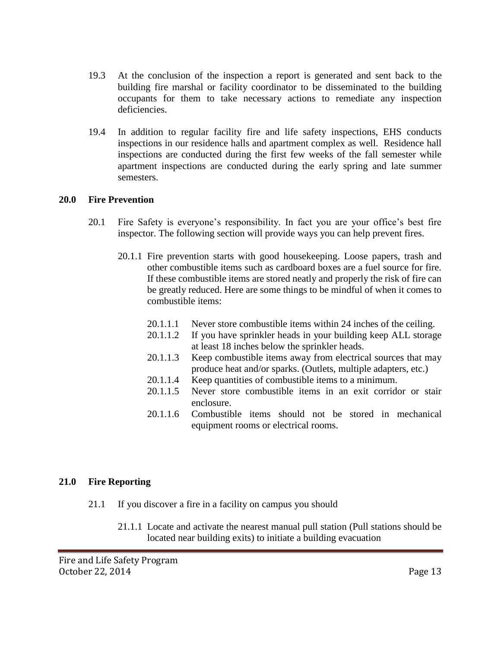- 19.3 At the conclusion of the inspection a report is generated and sent back to the building fire marshal or facility coordinator to be disseminated to the building occupants for them to take necessary actions to remediate any inspection deficiencies.
- 19.4 In addition to regular facility fire and life safety inspections, EHS conducts inspections in our residence halls and apartment complex as well. Residence hall inspections are conducted during the first few weeks of the fall semester while apartment inspections are conducted during the early spring and late summer semesters.

#### **20.0 Fire Prevention**

- 20.1 Fire Safety is everyone's responsibility. In fact you are your office's best fire inspector. The following section will provide ways you can help prevent fires.
	- 20.1.1 Fire prevention starts with good housekeeping. Loose papers, trash and other combustible items such as cardboard boxes are a fuel source for fire. If these combustible items are stored neatly and properly the risk of fire can be greatly reduced. Here are some things to be mindful of when it comes to combustible items:
		- 20.1.1.1 Never store combustible items within 24 inches of the ceiling.
		- 20.1.1.2 If you have sprinkler heads in your building keep ALL storage at least 18 inches below the sprinkler heads.
		- 20.1.1.3 Keep combustible items away from electrical sources that may produce heat and/or sparks. (Outlets, multiple adapters, etc.)
		- 20.1.1.4 Keep quantities of combustible items to a minimum.
		- 20.1.1.5 Never store combustible items in an exit corridor or stair enclosure.
		- 20.1.1.6 Combustible items should not be stored in mechanical equipment rooms or electrical rooms.

#### **21.0 Fire Reporting**

- 21.1 If you discover a fire in a facility on campus you should
	- 21.1.1 Locate and activate the nearest manual pull station (Pull stations should be located near building exits) to initiate a building evacuation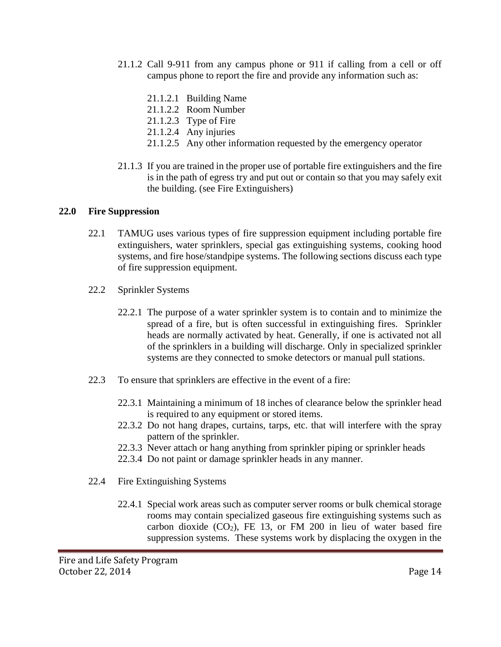- 21.1.2 Call 9-911 from any campus phone or 911 if calling from a cell or off campus phone to report the fire and provide any information such as:
	- 21.1.2.1 Building Name
	- 21.1.2.2 Room Number
	- 21.1.2.3 Type of Fire
	- 21.1.2.4 Any injuries
	- 21.1.2.5 Any other information requested by the emergency operator
- 21.1.3 If you are trained in the proper use of portable fire extinguishers and the fire is in the path of egress try and put out or contain so that you may safely exit the building. (see Fire Extinguishers)

#### **22.0 Fire Suppression**

- 22.1 TAMUG uses various types of fire suppression equipment including portable fire extinguishers, water sprinklers, special gas extinguishing systems, cooking hood systems, and fire hose/standpipe systems. The following sections discuss each type of fire suppression equipment.
- 22.2 Sprinkler Systems
	- 22.2.1 The purpose of a water sprinkler system is to contain and to minimize the spread of a fire, but is often successful in extinguishing fires. Sprinkler heads are normally activated by heat. Generally, if one is activated not all of the sprinklers in a building will discharge. Only in specialized sprinkler systems are they connected to smoke detectors or manual pull stations.
- 22.3 To ensure that sprinklers are effective in the event of a fire:
	- 22.3.1 Maintaining a minimum of 18 inches of clearance below the sprinkler head is required to any equipment or stored items.
	- 22.3.2 Do not hang drapes, curtains, tarps, etc. that will interfere with the spray pattern of the sprinkler.
	- 22.3.3 Never attach or hang anything from sprinkler piping or sprinkler heads
	- 22.3.4 Do not paint or damage sprinkler heads in any manner.
- 22.4 Fire Extinguishing Systems
	- 22.4.1 Special work areas such as computer server rooms or bulk chemical storage rooms may contain specialized gaseous fire extinguishing systems such as carbon dioxide  $(CO_2)$ , FE 13, or FM 200 in lieu of water based fire suppression systems. These systems work by displacing the oxygen in the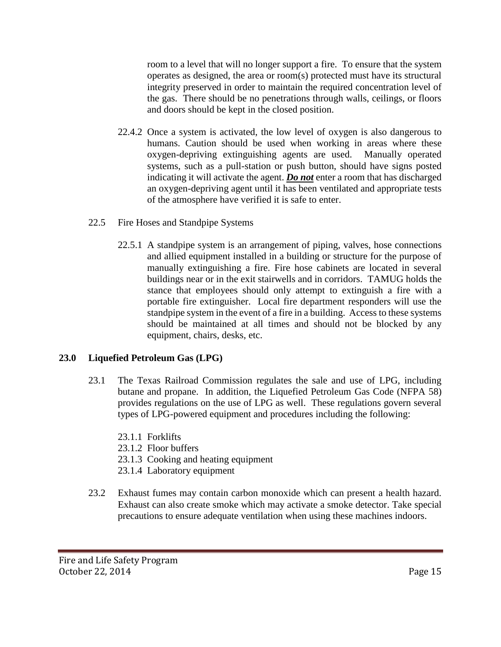room to a level that will no longer support a fire. To ensure that the system operates as designed, the area or room(s) protected must have its structural integrity preserved in order to maintain the required concentration level of the gas. There should be no penetrations through walls, ceilings, or floors and doors should be kept in the closed position.

- 22.4.2 Once a system is activated, the low level of oxygen is also dangerous to humans. Caution should be used when working in areas where these oxygen-depriving extinguishing agents are used. Manually operated systems, such as a pull-station or push button, should have signs posted indicating it will activate the agent. *Do not* enter a room that has discharged an oxygen-depriving agent until it has been ventilated and appropriate tests of the atmosphere have verified it is safe to enter.
- 22.5 Fire Hoses and Standpipe Systems
	- 22.5.1 A standpipe system is an arrangement of piping, valves, hose connections and allied equipment installed in a building or structure for the purpose of manually extinguishing a fire. Fire hose cabinets are located in several buildings near or in the exit stairwells and in corridors. TAMUG holds the stance that employees should only attempt to extinguish a fire with a portable fire extinguisher. Local fire department responders will use the standpipe system in the event of a fire in a building. Access to these systems should be maintained at all times and should not be blocked by any equipment, chairs, desks, etc.

# **23.0 Liquefied Petroleum Gas (LPG)**

- 23.1 The Texas Railroad Commission regulates the sale and use of LPG, including butane and propane. In addition, the Liquefied Petroleum Gas Code (NFPA 58) provides regulations on the use of LPG as well. These regulations govern several types of LPG-powered equipment and procedures including the following:
	- 23.1.1 Forklifts
	- 23.1.2 Floor buffers
	- 23.1.3 Cooking and heating equipment
	- 23.1.4 Laboratory equipment
- 23.2 Exhaust fumes may contain carbon monoxide which can present a health hazard. Exhaust can also create smoke which may activate a smoke detector. Take special precautions to ensure adequate ventilation when using these machines indoors.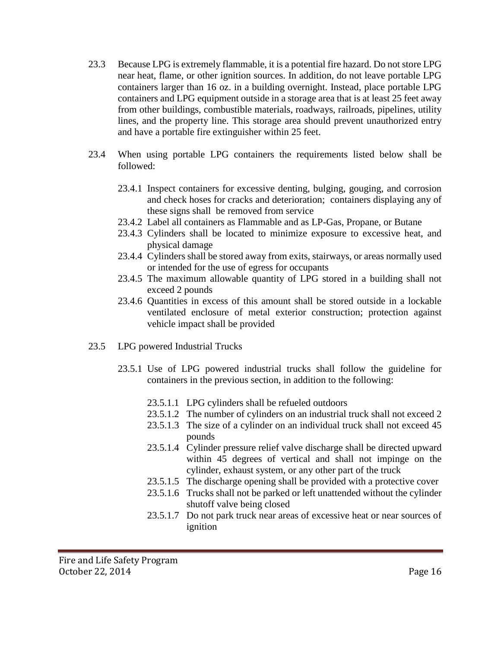- 23.3 Because LPG is extremely flammable, it is a potential fire hazard. Do not store LPG near heat, flame, or other ignition sources. In addition, do not leave portable LPG containers larger than 16 oz. in a building overnight. Instead, place portable LPG containers and LPG equipment outside in a storage area that is at least 25 feet away from other buildings, combustible materials, roadways, railroads, pipelines, utility lines, and the property line. This storage area should prevent unauthorized entry and have a portable fire extinguisher within 25 feet.
- 23.4 When using portable LPG containers the requirements listed below shall be followed:
	- 23.4.1 Inspect containers for excessive denting, bulging, gouging, and corrosion and check hoses for cracks and deterioration; containers displaying any of these signs shall be removed from service
	- 23.4.2 Label all containers as Flammable and as LP-Gas, Propane, or Butane
	- 23.4.3 Cylinders shall be located to minimize exposure to excessive heat, and physical damage
	- 23.4.4 Cylinders shall be stored away from exits, stairways, or areas normally used or intended for the use of egress for occupants
	- 23.4.5 The maximum allowable quantity of LPG stored in a building shall not exceed 2 pounds
	- 23.4.6 Quantities in excess of this amount shall be stored outside in a lockable ventilated enclosure of metal exterior construction; protection against vehicle impact shall be provided
- 23.5 LPG powered Industrial Trucks
	- 23.5.1 Use of LPG powered industrial trucks shall follow the guideline for containers in the previous section, in addition to the following:
		- 23.5.1.1 LPG cylinders shall be refueled outdoors
		- 23.5.1.2 The number of cylinders on an industrial truck shall not exceed 2
		- 23.5.1.3 The size of a cylinder on an individual truck shall not exceed 45 pounds
		- 23.5.1.4 Cylinder pressure relief valve discharge shall be directed upward within 45 degrees of vertical and shall not impinge on the cylinder, exhaust system, or any other part of the truck
		- 23.5.1.5 The discharge opening shall be provided with a protective cover
		- 23.5.1.6 Trucks shall not be parked or left unattended without the cylinder shutoff valve being closed
		- 23.5.1.7 Do not park truck near areas of excessive heat or near sources of ignition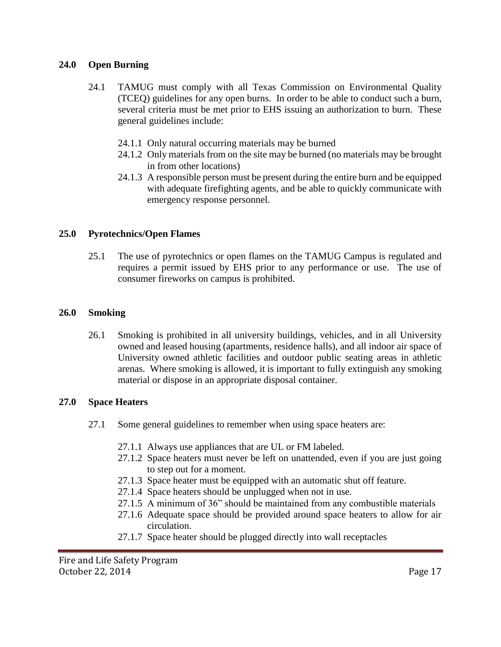#### **24.0 Open Burning**

- 24.1 TAMUG must comply with all Texas Commission on Environmental Quality (TCEQ) guidelines for any open burns. In order to be able to conduct such a burn, several criteria must be met prior to EHS issuing an authorization to burn. These general guidelines include:
	- 24.1.1 Only natural occurring materials may be burned
	- 24.1.2 Only materials from on the site may be burned (no materials may be brought in from other locations)
	- 24.1.3 A responsible person must be present during the entire burn and be equipped with adequate firefighting agents, and be able to quickly communicate with emergency response personnel.

# **25.0 Pyrotechnics/Open Flames**

25.1 The use of pyrotechnics or open flames on the TAMUG Campus is regulated and requires a permit issued by EHS prior to any performance or use. The use of consumer fireworks on campus is prohibited.

# **26.0 Smoking**

26.1 Smoking is prohibited in all university buildings, vehicles, and in all University owned and leased housing (apartments, residence halls), and all indoor air space of University owned athletic facilities and outdoor public seating areas in athletic arenas. Where smoking is allowed, it is important to fully extinguish any smoking material or dispose in an appropriate disposal container.

# **27.0 Space Heaters**

- 27.1 Some general guidelines to remember when using space heaters are:
	- 27.1.1 Always use appliances that are UL or FM labeled.
	- 27.1.2 Space heaters must never be left on unattended, even if you are just going to step out for a moment.
	- 27.1.3 Space heater must be equipped with an automatic shut off feature.
	- 27.1.4 Space heaters should be unplugged when not in use.
	- 27.1.5 A minimum of 36" should be maintained from any combustible materials
	- 27.1.6 Adequate space should be provided around space heaters to allow for air circulation.
	- 27.1.7 Space heater should be plugged directly into wall receptacles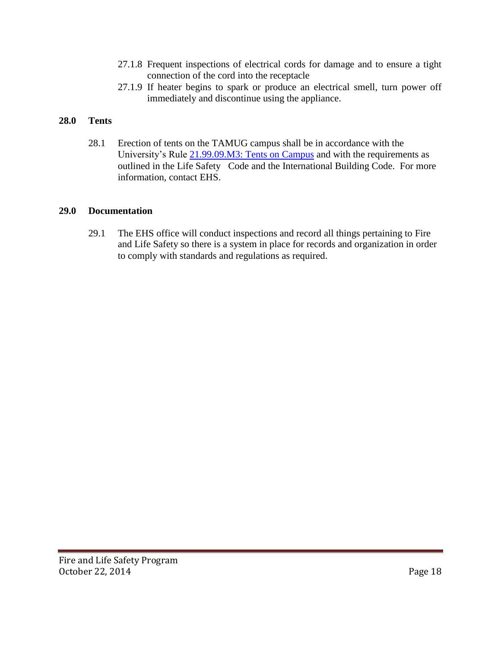- 27.1.8 Frequent inspections of electrical cords for damage and to ensure a tight connection of the cord into the receptacle
- 27.1.9 If heater begins to spark or produce an electrical smell, turn power off immediately and discontinue using the appliance.

# **28.0 Tents**

28.1 Erection of tents on the TAMUG campus shall be in accordance with the University's Rule 21.99.09.M3: Tents on Campus and with the requirements as outlined in the Life Safety Code and the International Building Code. For more information, contact EHS.

#### **29.0 Documentation**

29.1 The EHS office will conduct inspections and record all things pertaining to Fire and Life Safety so there is a system in place for records and organization in order to comply with standards and regulations as required.